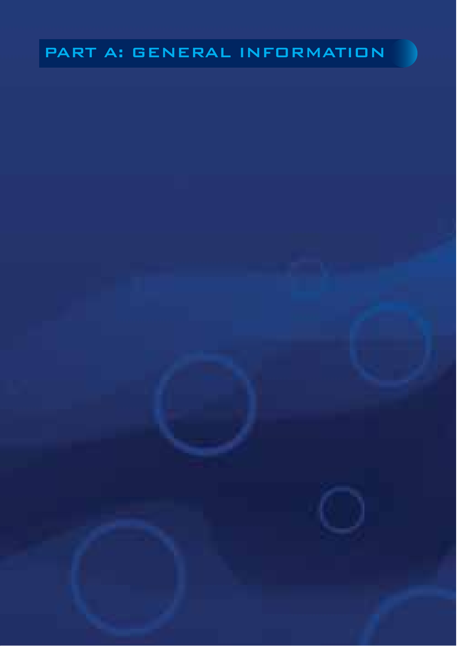# PART A: GENERAL INFORMATION

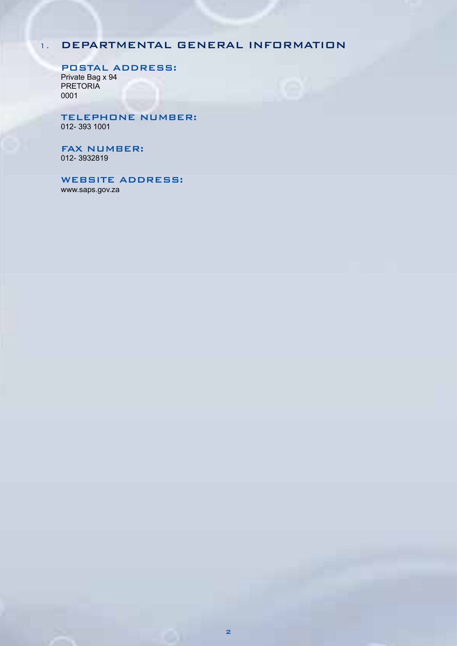# 1. DEPARTMENTAL GENERAL INFORMATION

POSTAL ADDRESS: Private Bag x 94 PRETORIA 0001

TELEPHONE NUMBER: 012- 393 1001

FAX NUMBER: 012- 3932819

WEBSITE ADDRESS: www.saps.gov.za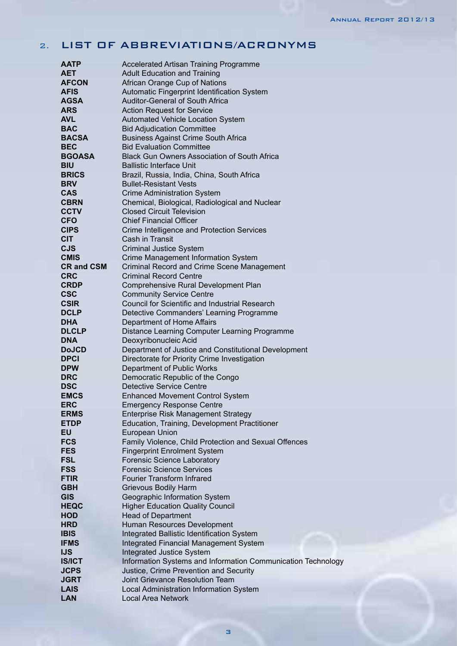# 2. LIST OF ABBREVIATIONS/ACRONYMS

| <b>AATP</b>       | Accelerated Artisan Training Programme                       |
|-------------------|--------------------------------------------------------------|
| <b>AET</b>        | <b>Adult Education and Training</b>                          |
| <b>AFCON</b>      | African Orange Cup of Nations                                |
| <b>AFIS</b>       | Automatic Fingerprint Identification System                  |
| <b>AGSA</b>       | Auditor-General of South Africa                              |
| <b>ARS</b>        | <b>Action Request for Service</b>                            |
| <b>AVL</b>        | Automated Vehicle Location System                            |
| <b>BAC</b>        | <b>Bid Adjudication Committee</b>                            |
| <b>BACSA</b>      | <b>Business Against Crime South Africa</b>                   |
| <b>BEC</b>        | <b>Bid Evaluation Committee</b>                              |
| <b>BGOASA</b>     | <b>Black Gun Owners Association of South Africa</b>          |
| <b>BIU</b>        | <b>Ballistic Interface Unit</b>                              |
| <b>BRICS</b>      | Brazil, Russia, India, China, South Africa                   |
| <b>BRV</b>        | <b>Bullet-Resistant Vests</b>                                |
| <b>CAS</b>        |                                                              |
| <b>CBRN</b>       | <b>Crime Administration System</b>                           |
|                   | Chemical, Biological, Radiological and Nuclear               |
| CCTV              | <b>Closed Circuit Television</b>                             |
| <b>CFO</b>        | <b>Chief Financial Officer</b>                               |
| <b>CIPS</b>       | Crime Intelligence and Protection Services                   |
| <b>CIT</b>        | Cash in Transit                                              |
| <b>CJS</b>        | <b>Criminal Justice System</b>                               |
| <b>CMIS</b>       | Crime Management Information System                          |
| <b>CR and CSM</b> | Criminal Record and Crime Scene Management                   |
| <b>CRC</b>        | <b>Criminal Record Centre</b>                                |
| <b>CRDP</b>       | Comprehensive Rural Development Plan                         |
| <b>CSC</b>        | <b>Community Service Centre</b>                              |
| <b>CSIR</b>       | <b>Council for Scientific and Industrial Research</b>        |
| <b>DCLP</b>       | Detective Commanders' Learning Programme                     |
| <b>DHA</b>        | Department of Home Affairs                                   |
| <b>DLCLP</b>      | Distance Learning Computer Learning Programme                |
| <b>DNA</b>        | Deoxyribonucleic Acid                                        |
| <b>DoJCD</b>      | Department of Justice and Constitutional Development         |
| <b>DPCI</b>       | Directorate for Priority Crime Investigation                 |
| <b>DPW</b>        | Department of Public Works                                   |
| <b>DRC</b>        | Democratic Republic of the Congo                             |
| <b>DSC</b>        | <b>Detective Service Centre</b>                              |
| <b>EMCS</b>       | <b>Enhanced Movement Control System</b>                      |
| ERC               | <b>Emergency Response Centre</b>                             |
| <b>ERMS</b>       | <b>Enterprise Risk Management Strategy</b>                   |
| <b>ETDP</b>       | Education, Training, Development Practitioner                |
| <b>EU</b>         | European Union                                               |
| <b>FCS</b>        | Family Violence, Child Protection and Sexual Offences        |
| <b>FES</b>        | <b>Fingerprint Enrolment System</b>                          |
| <b>FSL</b>        | <b>Forensic Science Laboratory</b>                           |
| <b>FSS</b>        | <b>Forensic Science Services</b>                             |
| <b>FTIR</b>       | <b>Fourier Transform Infrared</b>                            |
| <b>GBH</b>        | <b>Grievous Bodily Harm</b>                                  |
| <b>GIS</b>        | Geographic Information System                                |
| <b>HEQC</b>       | <b>Higher Education Quality Council</b>                      |
| <b>HOD</b>        | <b>Head of Department</b>                                    |
| <b>HRD</b>        | Human Resources Development                                  |
| <b>IBIS</b>       | Integrated Ballistic Identification System                   |
| <b>IFMS</b>       |                                                              |
|                   | <b>Integrated Financial Management System</b>                |
| <b>IJS</b>        | Integrated Justice System                                    |
| <b>IS/ICT</b>     | Information Systems and Information Communication Technology |
| <b>JCPS</b>       | Justice, Crime Prevention and Security                       |
| <b>JGRT</b>       | Joint Grievance Resolution Team                              |
| <b>LAIS</b>       | Local Administration Information System                      |
| <b>LAN</b>        | <b>Local Area Network</b>                                    |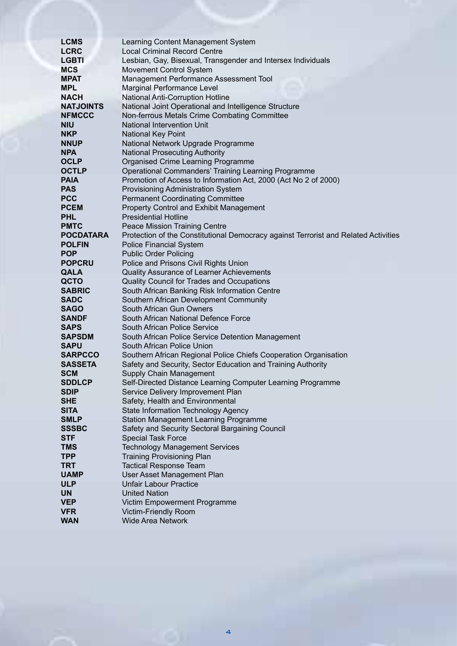| <b>LCMS</b>                 | Learning Content Management System                                                  |
|-----------------------------|-------------------------------------------------------------------------------------|
| <b>LCRC</b>                 | <b>Local Criminal Record Centre</b>                                                 |
| <b>LGBTI</b>                | Lesbian, Gay, Bisexual, Transgender and Intersex Individuals                        |
| <b>MCS</b>                  | <b>Movement Control System</b>                                                      |
| <b>MPAT</b>                 | Management Performance Assessment Tool                                              |
| <b>MPL</b>                  | Marginal Performance Level                                                          |
| <b>NACH</b>                 | <b>National Anti-Corruption Hotline</b>                                             |
| <b>NATJOINTS</b>            | National Joint Operational and Intelligence Structure                               |
| <b>NFMCCC</b>               | Non-ferrous Metals Crime Combating Committee                                        |
| <b>NIU</b><br><b>NKP</b>    | <b>National Intervention Unit</b>                                                   |
| <b>NNUP</b>                 | <b>National Key Point</b><br>National Network Upgrade Programme                     |
| <b>NPA</b>                  | <b>National Prosecuting Authority</b>                                               |
| <b>OCLP</b>                 | Organised Crime Learning Programme                                                  |
| <b>OCTLP</b>                | <b>Operational Commanders' Training Learning Programme</b>                          |
| <b>PAIA</b>                 | Promotion of Access to Information Act, 2000 (Act No 2 of 2000)                     |
| <b>PAS</b>                  | Provisioning Administration System                                                  |
| <b>PCC</b>                  | <b>Permanent Coordinating Committee</b>                                             |
| <b>PCEM</b>                 | Property Control and Exhibit Management                                             |
| <b>PHL</b>                  | <b>Presidential Hotline</b>                                                         |
| <b>PMTC</b>                 | <b>Peace Mission Training Centre</b>                                                |
| <b>POCDATARA</b>            | Protection of the Constitutional Democracy against Terrorist and Related Activities |
| <b>POLFIN</b>               | <b>Police Financial System</b>                                                      |
| <b>POP</b>                  | <b>Public Order Policing</b>                                                        |
| <b>POPCRU</b>               | Police and Prisons Civil Rights Union                                               |
| <b>QALA</b>                 | Quality Assurance of Learner Achievements                                           |
| QCTO                        | Quality Council for Trades and Occupations                                          |
| <b>SABRIC</b>               | South African Banking Risk Information Centre                                       |
| <b>SADC</b>                 | Southern African Development Community                                              |
| <b>SAGO</b><br><b>SANDF</b> | South African Gun Owners<br>South African National Defence Force                    |
| <b>SAPS</b>                 | South African Police Service                                                        |
| <b>SAPSDM</b>               | South African Police Service Detention Management                                   |
| <b>SAPU</b>                 | South African Police Union                                                          |
| <b>SARPCCO</b>              | Southern African Regional Police Chiefs Cooperation Organisation                    |
| <b>SASSETA</b>              | Safety and Security, Sector Education and Training Authority                        |
| <b>SCM</b>                  | Supply Chain Management                                                             |
| <b>SDDLCP</b>               | Self-Directed Distance Learning Computer Learning Programme                         |
| <b>SDIP</b>                 | Service Delivery Improvement Plan                                                   |
| <b>SHE</b>                  | Safety, Health and Environmental                                                    |
| <b>SITA</b>                 | State Information Technology Agency                                                 |
| <b>SMLP</b>                 | <b>Station Management Learning Programme</b>                                        |
| <b>SSSBC</b>                | Safety and Security Sectoral Bargaining Council                                     |
| <b>STF</b>                  | <b>Special Task Force</b>                                                           |
| <b>TMS</b>                  | <b>Technology Management Services</b>                                               |
| <b>TPP</b>                  | <b>Training Provisioning Plan</b>                                                   |
| <b>TRT</b>                  | <b>Tactical Response Team</b>                                                       |
| <b>UAMP</b><br><b>ULP</b>   | User Asset Management Plan<br><b>Unfair Labour Practice</b>                         |
| <b>UN</b>                   | <b>United Nation</b>                                                                |
| <b>VEP</b>                  | Victim Empowerment Programme                                                        |
| <b>VFR</b>                  | Victim-Friendly Room                                                                |
| <b>WAN</b>                  | <b>Wide Area Network</b>                                                            |

4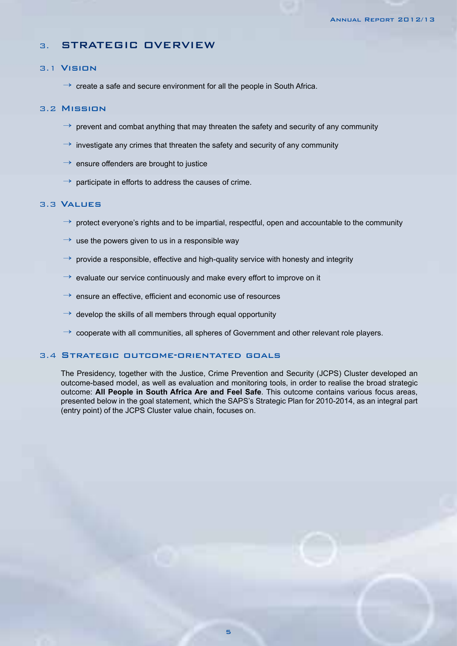### 3. STRATEGIC OVERVIEW

#### 3.1 Vision

 $\rightarrow$  create a safe and secure environment for all the people in South Africa.

#### 3.2 Mission

- $\rightarrow$  prevent and combat anything that may threaten the safety and security of any community
- $\rightarrow$  investigate any crimes that threaten the safety and security of any community
- $\rightarrow$  ensure offenders are brought to justice
- $\rightarrow$  participate in efforts to address the causes of crime.

#### 3.3 Values

- $\rightarrow$  protect everyone's rights and to be impartial, respectful, open and accountable to the community
- $\rightarrow$  use the powers given to us in a responsible way
- $\rightarrow$  provide a responsible, effective and high-quality service with honesty and integrity
- $\rightarrow$  evaluate our service continuously and make every effort to improve on it
- $\rightarrow$  ensure an effective, efficient and economic use of resources
- $\rightarrow$  develop the skills of all members through equal opportunity
- $\rightarrow$  cooperate with all communities, all spheres of Government and other relevant role players.

#### 3.4 Strategic outcome-orientated goals

The Presidency, together with the Justice, Crime Prevention and Security (JCPS) Cluster developed an outcome-based model, as well as evaluation and monitoring tools, in order to realise the broad strategic outcome: **All People in South Africa Are and Feel Safe**. This outcome contains various focus areas, presented below in the goal statement, which the SAPS's Strategic Plan for 2010-2014, as an integral part (entry point) of the JCPS Cluster value chain, focuses on.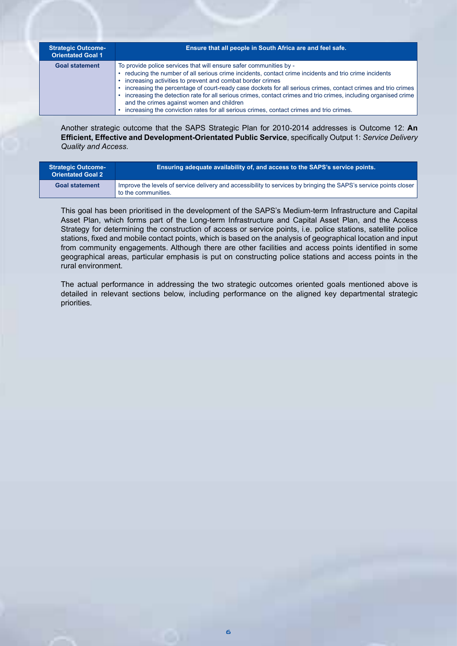| <b>Strategic Outcome-</b><br><b>Orientated Goal 1</b> | Ensure that all people in South Africa are and feel safe.                                                                                                                                                                                                                                                                                                                                                                                                                                                                                                                                                          |
|-------------------------------------------------------|--------------------------------------------------------------------------------------------------------------------------------------------------------------------------------------------------------------------------------------------------------------------------------------------------------------------------------------------------------------------------------------------------------------------------------------------------------------------------------------------------------------------------------------------------------------------------------------------------------------------|
| <b>Goal statement</b>                                 | To provide police services that will ensure safer communities by -<br>reducing the number of all serious crime incidents, contact crime incidents and trio crime incidents<br>increasing activities to prevent and combat border crimes<br>increasing the percentage of court-ready case dockets for all serious crimes, contact crimes and trio crimes<br>increasing the detection rate for all serious crimes, contact crimes and trio crimes, including organised crime<br>and the crimes against women and children<br>increasing the conviction rates for all serious crimes, contact crimes and trio crimes. |
|                                                       |                                                                                                                                                                                                                                                                                                                                                                                                                                                                                                                                                                                                                    |

Another strategic outcome that the SAPS Strategic Plan for 2010-2014 addresses is Outcome 12: **An Efficient, Effective and Development-Orientated Public Service**, specifically Output 1: *Service Delivery Quality and Access*.

| <b>Strategic Outcome-</b><br><b>Orientated Goal 2</b> | Ensuring adequate availability of, and access to the SAPS's service points.                                                              |
|-------------------------------------------------------|------------------------------------------------------------------------------------------------------------------------------------------|
| <b>Goal statement</b>                                 | Improve the levels of service delivery and accessibility to services by bringing the SAPS's service points closer<br>to the communities. |

This goal has been prioritised in the development of the SAPS's Medium-term Infrastructure and Capital Asset Plan, which forms part of the Long-term Infrastructure and Capital Asset Plan, and the Access Strategy for determining the construction of access or service points, i.e. police stations, satellite police stations, fixed and mobile contact points, which is based on the analysis of geographical location and input from community engagements. Although there are other facilities and access points identified in some geographical areas, particular emphasis is put on constructing police stations and access points in the rural environment.

The actual performance in addressing the two strategic outcomes oriented goals mentioned above is detailed in relevant sections below, including performance on the aligned key departmental strategic priorities.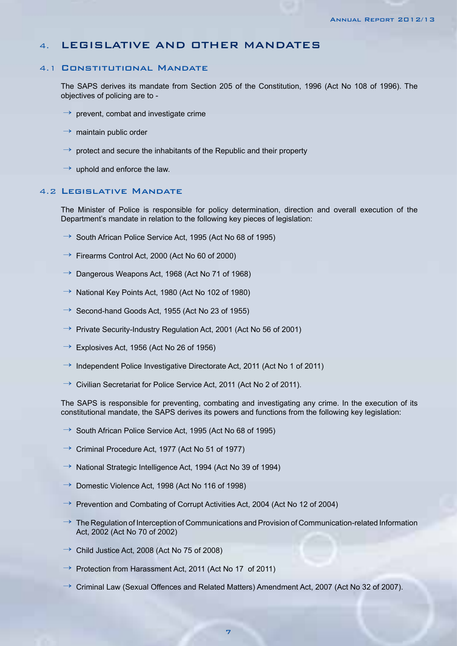### 4. LEGISLATIVE AND OTHER MANDATES

#### 4.1 Constitutional Mandate

The SAPS derives its mandate from Section 205 of the Constitution, 1996 (Act No 108 of 1996). The objectives of policing are to -

- $\rightarrow$  prevent, combat and investigate crime
- $\rightarrow$  maintain public order
- $\rightarrow$  protect and secure the inhabitants of the Republic and their property
- $\rightarrow$  uphold and enforce the law.

#### 4.2 Legislative Mandate

The Minister of Police is responsible for policy determination, direction and overall execution of the Department's mandate in relation to the following key pieces of legislation:

- $\rightarrow$  South African Police Service Act, 1995 (Act No 68 of 1995)
- $\rightarrow$  Firearms Control Act, 2000 (Act No 60 of 2000)
- $\rightarrow$  Dangerous Weapons Act, 1968 (Act No 71 of 1968)
- $\rightarrow$  National Key Points Act, 1980 (Act No 102 of 1980)
- $\rightarrow$  Second-hand Goods Act, 1955 (Act No 23 of 1955)
- $\rightarrow$  Private Security-Industry Regulation Act, 2001 (Act No 56 of 2001)
- $\rightarrow$  Explosives Act, 1956 (Act No 26 of 1956)
- $\rightarrow$  Independent Police Investigative Directorate Act, 2011 (Act No 1 of 2011)
- $\rightarrow$  Civilian Secretariat for Police Service Act, 2011 (Act No 2 of 2011).

The SAPS is responsible for preventing, combating and investigating any crime. In the execution of its constitutional mandate, the SAPS derives its powers and functions from the following key legislation:

- $\rightarrow$  South African Police Service Act, 1995 (Act No 68 of 1995)
- $\rightarrow$  Criminal Procedure Act, 1977 (Act No 51 of 1977)
- $\rightarrow$  National Strategic Intelligence Act, 1994 (Act No 39 of 1994)
- $\rightarrow$  Domestic Violence Act, 1998 (Act No 116 of 1998)
- $\rightarrow$  Prevention and Combating of Corrupt Activities Act, 2004 (Act No 12 of 2004)
- $\rightarrow$  The Regulation of Interception of Communications and Provision of Communication-related Information Act, 2002 (Act No 70 of 2002)
- $\rightarrow$  Child Justice Act, 2008 (Act No 75 of 2008)
- $\rightarrow$  Protection from Harassment Act, 2011 (Act No 17 of 2011)
- $\rightarrow$  Criminal Law (Sexual Offences and Related Matters) Amendment Act, 2007 (Act No 32 of 2007).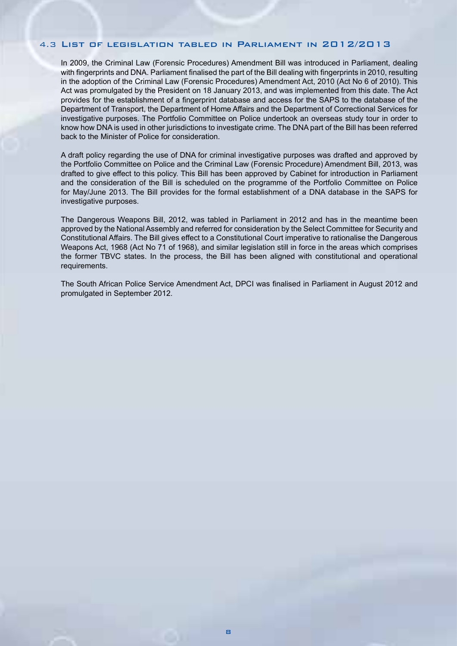#### 4.3 List of legislation tabled in Parliament in 2012/2013

In 2009, the Criminal Law (Forensic Procedures) Amendment Bill was introduced in Parliament, dealing with fingerprints and DNA. Parliament finalised the part of the Bill dealing with fingerprints in 2010, resulting in the adoption of the Criminal Law (Forensic Procedures) Amendment Act, 2010 (Act No 6 of 2010). This Act was promulgated by the President on 18 January 2013, and was implemented from this date. The Act provides for the establishment of a fingerprint database and access for the SAPS to the database of the Department of Transport, the Department of Home Affairs and the Department of Correctional Services for investigative purposes. The Portfolio Committee on Police undertook an overseas study tour in order to know how DNA is used in other jurisdictions to investigate crime. The DNA part of the Bill has been referred back to the Minister of Police for consideration.

A draft policy regarding the use of DNA for criminal investigative purposes was drafted and approved by the Portfolio Committee on Police and the Criminal Law (Forensic Procedure) Amendment Bill, 2013, was drafted to give effect to this policy. This Bill has been approved by Cabinet for introduction in Parliament and the consideration of the Bill is scheduled on the programme of the Portfolio Committee on Police for May/June 2013. The Bill provides for the formal establishment of a DNA database in the SAPS for investigative purposes.

The Dangerous Weapons Bill, 2012, was tabled in Parliament in 2012 and has in the meantime been approved by the National Assembly and referred for consideration by the Select Committee for Security and Constitutional Affairs. The Bill gives effect to a Constitutional Court imperative to rationalise the Dangerous Weapons Act, 1968 (Act No 71 of 1968), and similar legislation still in force in the areas which comprises the former TBVC states. In the process, the Bill has been aligned with constitutional and operational requirements.

The South African Police Service Amendment Act, DPCI was finalised in Parliament in August 2012 and promulgated in September 2012.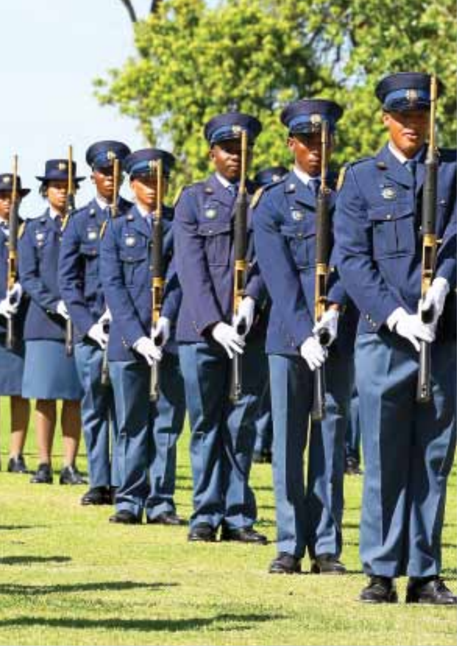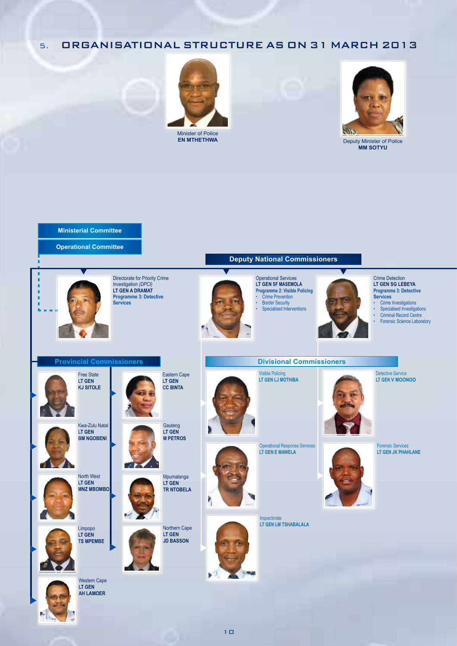### 5. ORGANISATIONAL STRUCTURE AS ON 31 MARCH 2013



R.

Deputy Minister of Police **MM SOTYU**

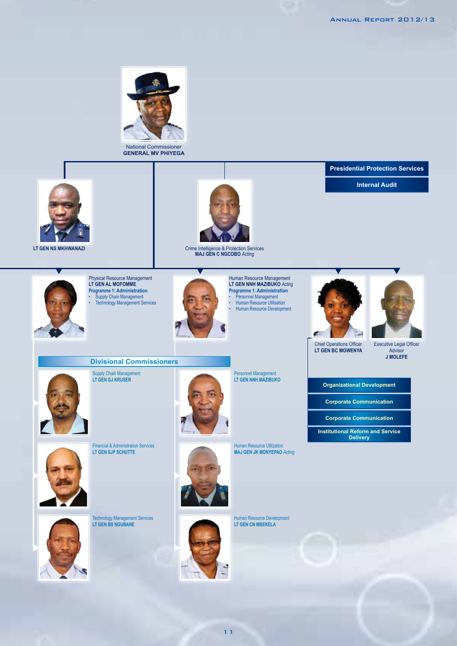**Presidential Protection Services**

**Internal Audit**



**GENERAL MV PHIYEGA**



**LT GEN NS MKHWANAZI**



Physical Resource Management **LT GEN AL MOFOMME Programme 1: Administration** • Supply Chain Management • Technology Management Services



Crime Intelligence & Protection Services **MAJ GEN C NGCOBO** *Acting*

> Human Resource Management **LT GEN NNH MAZIBUKO** *Acting* **Programme 1: Administration** • Personnel Management

- • Human Resource Utilisation
- • Human Resource Development

Personnel Management **LT GEN NNH MAZIBUKO**





Chief Operations Officer **LT GEN BC MGWENYA**

- Executive Legal Officer Advisor **J MOLEFE**
- **Organizational Development**
- **Corporate Communication**
- **Corporate Communication**
- **Institutional Reform and Service Delivery**

Financial & Administration Services **LT GEN SJP SCHUTTE**

Supply Chain Management **LT GEN GJ KRUSER**

**Divisional Commissioners**



Human Resource Utilization **MAJ GEN JK MONYEPAO** *Acting*



Technology Management Services **LT GEN BS NGUBANE**



Human Resource Development **LT GEN CN MBEKELA**

11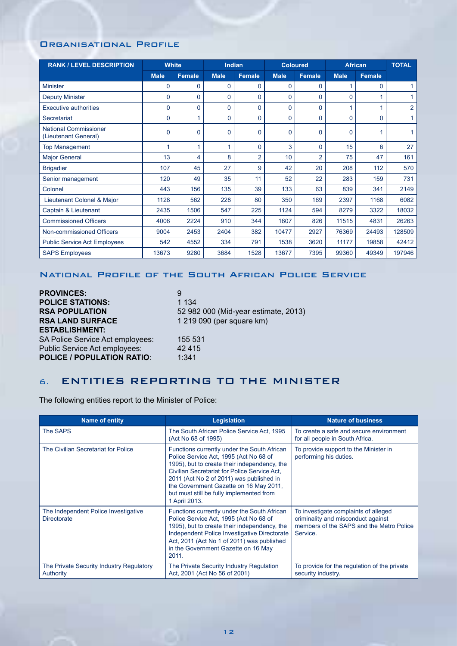### Organisational Profile

| <b>RANK / LEVEL DESCRIPTION</b>                      | <b>White</b> |               | <b>Indian</b> |                | <b>Coloured</b> |                | <b>African</b> |               | <b>TOTAL</b>   |
|------------------------------------------------------|--------------|---------------|---------------|----------------|-----------------|----------------|----------------|---------------|----------------|
|                                                      | <b>Male</b>  | <b>Female</b> | <b>Male</b>   | <b>Female</b>  | <b>Male</b>     | <b>Female</b>  | <b>Male</b>    | <b>Female</b> |                |
| <b>Minister</b>                                      | $\Omega$     | $\mathbf{0}$  | $\Omega$      | 0              | 0               | $\Omega$       |                | $\Omega$      |                |
| <b>Deputy Minister</b>                               | $\Omega$     | $\mathbf{0}$  | $\mathbf{0}$  | $\mathbf{0}$   | 0               | $\Omega$       | 0              | 1             | 1              |
| Executive authorities                                | $\Omega$     | $\Omega$      | $\mathbf{0}$  | $\mathbf{0}$   | $\mathbf{0}$    | $\Omega$       | 1              | 1             | $\overline{2}$ |
| Secretariat                                          | $\Omega$     | 1             | $\mathbf{0}$  | $\mathbf{0}$   | $\mathbf{0}$    | $\Omega$       | 0              | $\Omega$      | 1              |
| <b>National Commissioner</b><br>(Lieutenant General) | $\Omega$     | 0             | 0             | 0              | 0               | 0              | 0              | 1             | 1              |
| <b>Top Management</b>                                | 1            | 1             | 1             | $\mathbf{0}$   | 3               | $\mathbf{0}$   | 15             | 6             | 27             |
| <b>Major General</b>                                 | 13           | 4             | 8             | $\overline{2}$ | 10              | $\overline{2}$ | 75             | 47            | 161            |
| <b>Brigadier</b>                                     | 107          | 45            | 27            | 9              | 42              | 20             | 208            | 112           | 570            |
| Senior management                                    | 120          | 49            | 35            | 11             | 52              | 22             | 283            | 159           | 731            |
| Colonel                                              | 443          | 156           | 135           | 39             | 133             | 63             | 839            | 341           | 2149           |
| Lieutenant Colonel & Major                           | 1128         | 562           | 228           | 80             | 350             | 169            | 2397           | 1168          | 6082           |
| Captain & Lieutenant                                 | 2435         | 1506          | 547           | 225            | 1124            | 594            | 8279           | 3322          | 18032          |
| <b>Commissioned Officers</b>                         | 4006         | 2224          | 910           | 344            | 1607            | 826            | 11515          | 4831          | 26263          |
| Non-commissioned Officers                            | 9004         | 2453          | 2404          | 382            | 10477           | 2927           | 76369          | 24493         | 128509         |
| <b>Public Service Act Employees</b>                  | 542          | 4552          | 334           | 791            | 1538            | 3620           | 11177          | 19858         | 42412          |
| <b>SAPS Employees</b>                                | 13673        | 9280          | 3684          | 1528           | 13677           | 7395           | 99360          | 49349         | 197946         |

### National Profile of the South African Police Service

| <b>PROVINCES:</b>                 | 9                                    |
|-----------------------------------|--------------------------------------|
| <b>POLICE STATIONS:</b>           | 1 1 3 4                              |
| <b>RSA POPULATION</b>             | 52 982 000 (Mid-year estimate, 2013) |
| <b>RSA LAND SURFACE</b>           | 1 219 090 (per square km)            |
| <b>ESTABLISHMENT:</b>             |                                      |
| SA Police Service Act employees:  | 155 531                              |
| Public Service Act employees:     | 42 4 15                              |
| <b>POLICE / POPULATION RATIO:</b> | 1:341                                |

# 6. ENTITIES REPORTING TO THE MINISTER

The following entities report to the Minister of Police:

| <b>Name of entity</b>                                      | <b>Legislation</b>                                                                                                                                                                                                                                                                                                                       | <b>Nature of business</b>                                                                                                          |
|------------------------------------------------------------|------------------------------------------------------------------------------------------------------------------------------------------------------------------------------------------------------------------------------------------------------------------------------------------------------------------------------------------|------------------------------------------------------------------------------------------------------------------------------------|
| The SAPS                                                   | The South African Police Service Act. 1995<br>(Act No 68 of 1995)                                                                                                                                                                                                                                                                        | To create a safe and secure environment<br>for all people in South Africa.                                                         |
| The Civilian Secretariat for Police                        | Functions currently under the South African<br>Police Service Act, 1995 (Act No 68 of<br>1995), but to create their independency, the<br>Civilian Secretariat for Police Service Act.<br>2011 (Act No 2 of 2011) was published in<br>the Government Gazette on 16 May 2011,<br>but must still be fully implemented from<br>1 April 2013. | To provide support to the Minister in<br>performing his duties.                                                                    |
| The Independent Police Investigative<br><b>Directorate</b> | Functions currently under the South African<br>Police Service Act, 1995 (Act No 68 of<br>1995), but to create their independency, the<br>Independent Police Investigative Directorate<br>Act, 2011 (Act No 1 of 2011) was published<br>in the Government Gazette on 16 May<br>2011.                                                      | To investigate complaints of alleged<br>criminality and misconduct against<br>members of the SAPS and the Metro Police<br>Service. |
| The Private Security Industry Regulatory<br>Authority      | The Private Security Industry Regulation<br>Act, 2001 (Act No 56 of 2001)                                                                                                                                                                                                                                                                | To provide for the regulation of the private<br>security industry.                                                                 |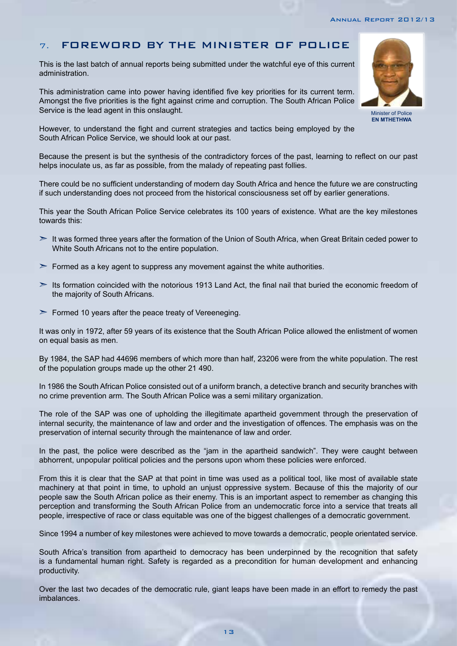### 7. FOREWORD BY THE MINISTER of police

This is the last batch of annual reports being submitted under the watchful eye of this current administration.

This administration came into power having identified five key priorities for its current term. Amongst the five priorities is the fight against crime and corruption. The South African Police Service is the lead agent in this onslaught.



Minister of Police **EN MTHETHWA**

However, to understand the fight and current strategies and tactics being employed by the South African Police Service, we should look at our past.

Because the present is but the synthesis of the contradictory forces of the past, learning to reflect on our past helps inoculate us, as far as possible, from the malady of repeating past follies.

There could be no sufficient understanding of modern day South Africa and hence the future we are constructing if such understanding does not proceed from the historical consciousness set off by earlier generations.

This year the South African Police Service celebrates its 100 years of existence. What are the key milestones towards this:

- $\geq$  It was formed three years after the formation of the Union of South Africa, when Great Britain ceded power to White South Africans not to the entire population.
- $\geq$  Formed as a key agent to suppress any movement against the white authorities.
- $\geq$  Its formation coincided with the notorious 1913 Land Act, the final nail that buried the economic freedom of the majority of South Africans.
- $\triangleright$  Formed 10 years after the peace treaty of Vereeneging.

It was only in 1972, after 59 years of its existence that the South African Police allowed the enlistment of women on equal basis as men.

By 1984, the SAP had 44696 members of which more than half, 23206 were from the white population. The rest of the population groups made up the other 21 490.

In 1986 the South African Police consisted out of a uniform branch, a detective branch and security branches with no crime prevention arm. The South African Police was a semi military organization.

The role of the SAP was one of upholding the illegitimate apartheid government through the preservation of internal security, the maintenance of law and order and the investigation of offences. The emphasis was on the preservation of internal security through the maintenance of law and order.

In the past, the police were described as the "jam in the apartheid sandwich". They were caught between abhorrent, unpopular political policies and the persons upon whom these policies were enforced.

From this it is clear that the SAP at that point in time was used as a political tool, like most of available state machinery at that point in time, to uphold an unjust oppressive system. Because of this the majority of our people saw the South African police as their enemy. This is an important aspect to remember as changing this perception and transforming the South African Police from an undemocratic force into a service that treats all people, irrespective of race or class equitable was one of the biggest challenges of a democratic government.

Since 1994 a number of key milestones were achieved to move towards a democratic, people orientated service.

South Africa's transition from apartheid to democracy has been underpinned by the recognition that safety is a fundamental human right. Safety is regarded as a precondition for human development and enhancing productivity.

Over the last two decades of the democratic rule, giant leaps have been made in an effort to remedy the past imbalances.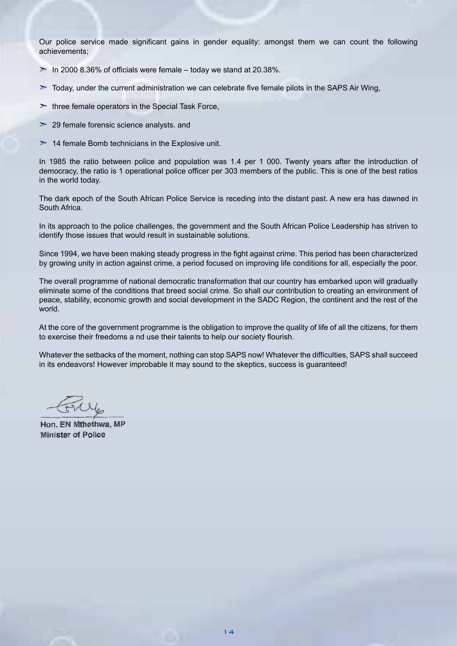Our police service made significant gains in gender equality: amongst them we can count the following achievements;

- $\geq$  In 2000 8.36% of officials were female today we stand at 20.38%.
- $\geq$  Today, under the current administration we can celebrate five female pilots in the SAPS Air Wing,
- $\geq$  three female operators in the Special Task Force,
- $\geq$  29 female forensic science analysts. and
- $\geq$  14 female Bomb technicians in the Explosive unit.

In 1985 the ratio between police and population was 1.4 per 1 000. Twenty years after the introduction of democracy, the ratio is 1 operational police officer per 303 members of the public. This is one of the best ratios in the world today.

The dark epoch of the South African Police Service is receding into the distant past. A new era has dawned in South Africa.

In its approach to the police challenges, the government and the South African Police Leadership has striven to identify those issues that would result in sustainable solutions.

Since 1994, we have been making steady progress in the fight against crime. This period has been characterized by growing unity in action against crime, a period focused on improving life conditions for all, especially the poor.

The overall programme of national democratic transformation that our country has embarked upon will gradually eliminate some of the conditions that breed social crime. So shall our contribution to creating an environment of peace, stability, economic growth and social development in the SADC Region, the continent and the rest of the world.

At the core of the government programme is the obligation to improve the quality of life of all the citizens, for them to exercise their freedoms a nd use their talents to help our society flourish.

Whatever the setbacks of the moment, nothing can stop SAPS now! Whatever the difficulties, SAPS shall succeed in its endeavors! However improbable it may sound to the skeptics, success is guaranteed!

Hon. EN Mthethwa, MP **Minister of Police**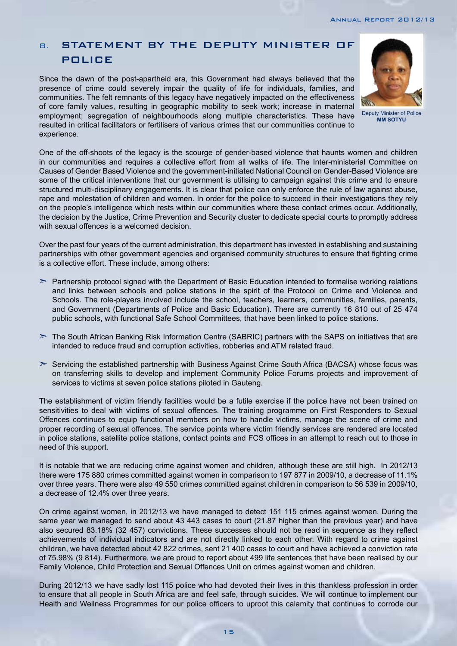# 8. STATEMENT BY THE DEPUTY MINISTER OF POLICE

Since the dawn of the post-apartheid era, this Government had always believed that the presence of crime could severely impair the quality of life for individuals, families, and communities. The felt remnants of this legacy have negatively impacted on the effectiveness of core family values, resulting in geographic mobility to seek work; increase in maternal employment; segregation of neighbourhoods along multiple characteristics. These have resulted in critical facilitators or fertilisers of various crimes that our communities continue to experience.



Deputy Minister of Police **MM SOTYU**

One of the off-shoots of the legacy is the scourge of gender-based violence that haunts women and children in our communities and requires a collective effort from all walks of life. The Inter-ministerial Committee on Causes of Gender Based Violence and the government-initiated National Council on Gender-Based Violence are some of the critical interventions that our government is utilising to campaign against this crime and to ensure structured multi-disciplinary engagements. It is clear that police can only enforce the rule of law against abuse, rape and molestation of children and women. In order for the police to succeed in their investigations they rely on the people's intelligence which rests within our communities where these contact crimes occur. Additionally, the decision by the Justice, Crime Prevention and Security cluster to dedicate special courts to promptly address with sexual offences is a welcomed decision.

Over the past four years of the current administration, this department has invested in establishing and sustaining partnerships with other government agencies and organised community structures to ensure that fighting crime is a collective effort. These include, among others:

- $\geq$  Partnership protocol signed with the Department of Basic Education intended to formalise working relations and links between schools and police stations in the spirit of the Protocol on Crime and Violence and Schools. The role-players involved include the school, teachers, learners, communities, families, parents, and Government (Departments of Police and Basic Education). There are currently 16 810 out of 25 474 public schools, with functional Safe School Committees, that have been linked to police stations.
- $\geq$  The South African Banking Risk Information Centre (SABRIC) partners with the SAPS on initiatives that are intended to reduce fraud and corruption activities, robberies and ATM related fraud.
- $\geq$  Servicing the established partnership with Business Against Crime South Africa (BACSA) whose focus was on transferring skills to develop and implement Community Police Forums projects and improvement of services to victims at seven police stations piloted in Gauteng.

The establishment of victim friendly facilities would be a futile exercise if the police have not been trained on sensitivities to deal with victims of sexual offences. The training programme on First Responders to Sexual Offences continues to equip functional members on how to handle victims, manage the scene of crime and proper recording of sexual offences. The service points where victim friendly services are rendered are located in police stations, satellite police stations, contact points and FCS offices in an attempt to reach out to those in need of this support.

It is notable that we are reducing crime against women and children, although these are still high. In 2012/13 there were 175 880 crimes committed against women in comparison to 197 877 in 2009/10, a decrease of 11.1% over three years. There were also 49 550 crimes committed against children in comparison to 56 539 in 2009/10, a decrease of 12.4% over three years.

On crime against women, in 2012/13 we have managed to detect 151 115 crimes against women. During the same year we managed to send about 43 443 cases to court (21.87 higher than the previous year) and have also secured 83.18% (32 457) convictions. These successes should not be read in sequence as they reflect achievements of individual indicators and are not directly linked to each other. With regard to crime against children, we have detected about 42 822 crimes, sent 21 400 cases to court and have achieved a conviction rate of 75.98% (9 814). Furthermore, we are proud to report about 499 life sentences that have been realised by our Family Violence, Child Protection and Sexual Offences Unit on crimes against women and children.

During 2012/13 we have sadly lost 115 police who had devoted their lives in this thankless profession in order to ensure that all people in South Africa are and feel safe, through suicides. We will continue to implement our Health and Wellness Programmes for our police officers to uproot this calamity that continues to corrode our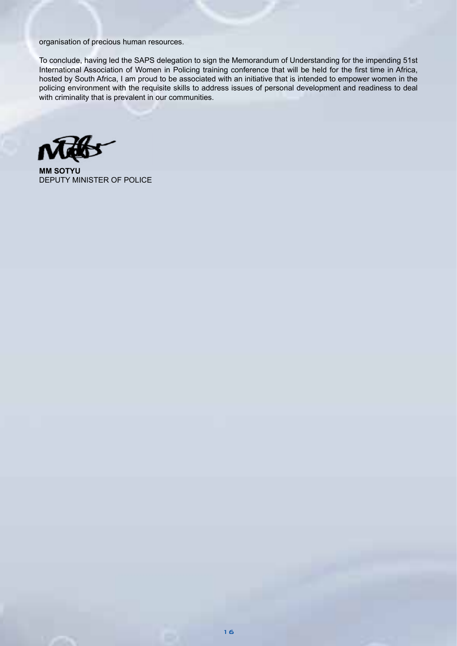organisation of precious human resources.

To conclude, having led the SAPS delegation to sign the Memorandum of Understanding for the impending 51st International Association of Women in Policing training conference that will be held for the first time in Africa, hosted by South Africa, I am proud to be associated with an initiative that is intended to empower women in the policing environment with the requisite skills to address issues of personal development and readiness to deal with criminality that is prevalent in our communities.

**MM SOTYU** DEPUTY MINISTER OF POLICE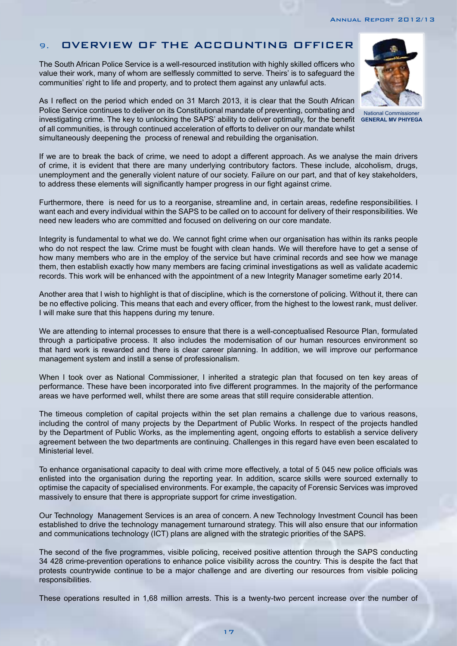### 9. OVERVIEW OF THE ACCOUNTING OFFICER

The South African Police Service is a well-resourced institution with highly skilled officers who value their work, many of whom are selflessly committed to serve. Theirs' is to safeguard the communities' right to life and property, and to protect them against any unlawful acts.



National Commissioner

If we are to break the back of crime, we need to adopt a different approach. As we analyse the main drivers of crime, it is evident that there are many underlying contributory factors. These include, alcoholism, drugs, unemployment and the generally violent nature of our society. Failure on our part, and that of key stakeholders, to address these elements will significantly hamper progress in our fight against crime.

Furthermore, there is need for us to a reorganise, streamline and, in certain areas, redefine responsibilities. I want each and every individual within the SAPS to be called on to account for delivery of their responsibilities. We need new leaders who are committed and focused on delivering on our core mandate.

Integrity is fundamental to what we do. We cannot fight crime when our organisation has within its ranks people who do not respect the law. Crime must be fought with clean hands. We will therefore have to get a sense of how many members who are in the employ of the service but have criminal records and see how we manage them, then establish exactly how many members are facing criminal investigations as well as validate academic records. This work will be enhanced with the appointment of a new Integrity Manager sometime early 2014.

Another area that I wish to highlight is that of discipline, which is the cornerstone of policing. Without it, there can be no effective policing. This means that each and every officer, from the highest to the lowest rank, must deliver. I will make sure that this happens during my tenure.

We are attending to internal processes to ensure that there is a well-conceptualised Resource Plan, formulated through a participative process. It also includes the modernisation of our human resources environment so that hard work is rewarded and there is clear career planning. In addition, we will improve our performance management system and instill a sense of professionalism.

When I took over as National Commissioner, I inherited a strategic plan that focused on ten key areas of performance. These have been incorporated into five different programmes. In the majority of the performance areas we have performed well, whilst there are some areas that still require considerable attention.

The timeous completion of capital projects within the set plan remains a challenge due to various reasons, including the control of many projects by the Department of Public Works. In respect of the projects handled by the Department of Public Works, as the implementing agent, ongoing efforts to establish a service delivery agreement between the two departments are continuing. Challenges in this regard have even been escalated to Ministerial level.

To enhance organisational capacity to deal with crime more effectively, a total of 5 045 new police officials was enlisted into the organisation during the reporting year. In addition, scarce skills were sourced externally to optimise the capacity of specialised environments. For example, the capacity of Forensic Services was improved massively to ensure that there is appropriate support for crime investigation.

Our Technology Management Services is an area of concern. A new Technology Investment Council has been established to drive the technology management turnaround strategy. This will also ensure that our information and communications technology (ICT) plans are aligned with the strategic priorities of the SAPS.

The second of the five programmes, visible policing, received positive attention through the SAPS conducting 34 428 crime-prevention operations to enhance police visibility across the country. This is despite the fact that protests countrywide continue to be a major challenge and are diverting our resources from visible policing responsibilities.

These operations resulted in 1,68 million arrests. This is a twenty-two percent increase over the number of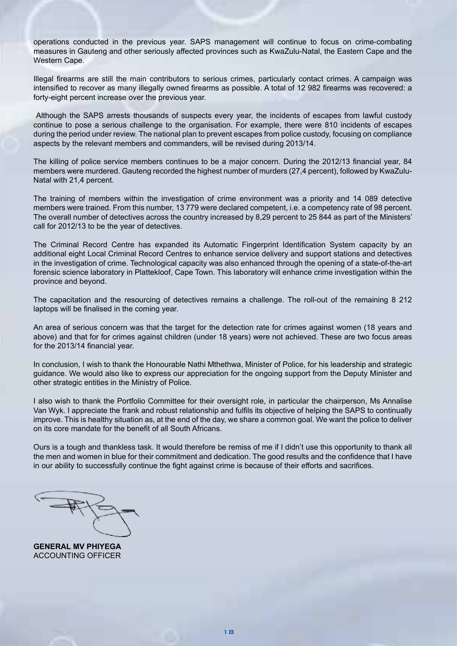operations conducted in the previous year. SAPS management will continue to focus on crime-combating measures in Gauteng and other seriously affected provinces such as KwaZulu-Natal, the Eastern Cape and the Western Cape.

Illegal firearms are still the main contributors to serious crimes, particularly contact crimes. A campaign was intensified to recover as many illegally owned firearms as possible. A total of 12 982 firearms was recovered: a forty-eight percent increase over the previous year.

 Although the SAPS arrests thousands of suspects every year, the incidents of escapes from lawful custody continue to pose a serious challenge to the organisation. For example, there were 810 incidents of escapes during the period under review. The national plan to prevent escapes from police custody, focusing on compliance aspects by the relevant members and commanders, will be revised during 2013/14.

The killing of police service members continues to be a major concern. During the 2012/13 financial year, 84 members were murdered. Gauteng recorded the highest number of murders (27,4 percent), followed by KwaZulu-Natal with 21,4 percent.

The training of members within the investigation of crime environment was a priority and 14 089 detective members were trained. From this number, 13 779 were declared competent, i.e. a competency rate of 98 percent. The overall number of detectives across the country increased by 8,29 percent to 25 844 as part of the Ministers' call for 2012/13 to be the year of detectives.

The Criminal Record Centre has expanded its Automatic Fingerprint Identification System capacity by an additional eight Local Criminal Record Centres to enhance service delivery and support stations and detectives in the investigation of crime. Technological capacity was also enhanced through the opening of a state-of-the-art forensic science laboratory in Plattekloof, Cape Town. This laboratory will enhance crime investigation within the province and beyond.

The capacitation and the resourcing of detectives remains a challenge. The roll-out of the remaining 8 212 laptops will be finalised in the coming year.

An area of serious concern was that the target for the detection rate for crimes against women (18 years and above) and that for for crimes against children (under 18 years) were not achieved. These are two focus areas for the 2013/14 financial year.

In conclusion, I wish to thank the Honourable Nathi Mthethwa, Minister of Police, for his leadership and strategic guidance. We would also like to express our appreciation for the ongoing support from the Deputy Minister and other strategic entities in the Ministry of Police.

I also wish to thank the Portfolio Committee for their oversight role, in particular the chairperson, Ms Annalise Van Wyk. I appreciate the frank and robust relationship and fulfils its objective of helping the SAPS to continually improve. This is healthy situation as, at the end of the day, we share a common goal. We want the police to deliver on its core mandate for the benefit of all South Africans.

Ours is a tough and thankless task. It would therefore be remiss of me if I didn't use this opportunity to thank all the men and women in blue for their commitment and dedication. The good results and the confidence that I have in our ability to successfully continue the fight against crime is because of their efforts and sacrifices.

**TAKE** 

**GENERAL MV PHIYEGA** ACCOUNTING OFFICER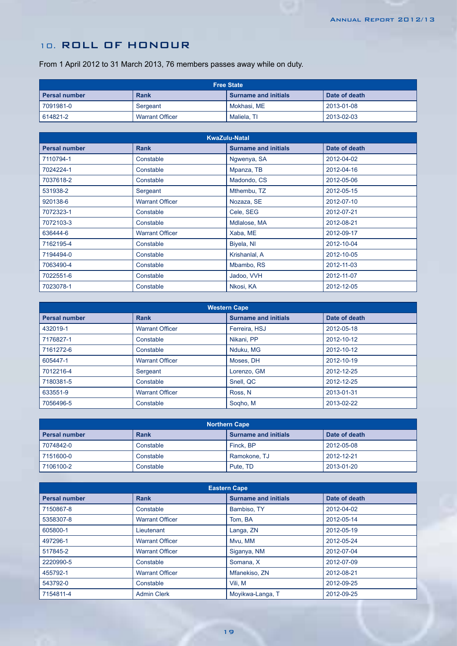## 10. Roll of Honour

From 1 April 2012 to 31 March 2013, 76 members passes away while on duty.

| <b>Free State</b> |                        |                             |               |  |  |
|-------------------|------------------------|-----------------------------|---------------|--|--|
| l Persal number   | Rank                   | <b>Surname and initials</b> | Date of death |  |  |
| 7091981-0         | Sergeant               | Mokhasi, ME                 | 2013-01-08    |  |  |
| 614821-2          | <b>Warrant Officer</b> | Maliela, TI                 | 2013-02-03    |  |  |

| <b>KwaZulu-Natal</b> |                        |                             |               |  |  |  |
|----------------------|------------------------|-----------------------------|---------------|--|--|--|
| <b>Persal number</b> | Rank                   | <b>Surname and initials</b> | Date of death |  |  |  |
| 7110794-1            | Constable              | Ngwenya, SA                 | 2012-04-02    |  |  |  |
| 7024224-1            | Constable              | Mpanza, TB                  | 2012-04-16    |  |  |  |
| 7037618-2            | Constable              | Madondo, CS                 | 2012-05-06    |  |  |  |
| 531938-2             | Sergeant               | Mthembu, TZ                 | 2012-05-15    |  |  |  |
| 920138-6             | <b>Warrant Officer</b> | Nozaza, SE                  | 2012-07-10    |  |  |  |
| 7072323-1            | Constable              | Cele, SEG                   | 2012-07-21    |  |  |  |
| 7072103-3            | Constable              | Mdlalose, MA                | 2012-08-21    |  |  |  |
| 636444-6             | <b>Warrant Officer</b> | Xaba, ME                    | 2012-09-17    |  |  |  |
| 7162195-4            | Constable              | Biyela, NI                  | 2012-10-04    |  |  |  |
| 7194494-0            | Constable              | Krishanlal, A               | 2012-10-05    |  |  |  |
| 7063490-4            | Constable              | Mbambo, RS                  | 2012-11-03    |  |  |  |
| 7022551-6            | Constable              | Jadoo, VVH                  | 2012-11-07    |  |  |  |
| 7023078-1            | Constable              | Nkosi, KA                   | 2012-12-05    |  |  |  |

| <b>Western Cape</b>  |                        |                             |               |  |  |
|----------------------|------------------------|-----------------------------|---------------|--|--|
| <b>Persal number</b> | <b>Rank</b>            | <b>Surname and initials</b> | Date of death |  |  |
| 432019-1             | <b>Warrant Officer</b> | Ferreira, HSJ               | 2012-05-18    |  |  |
| 7176827-1            | Constable              | Nikani, PP                  | 2012-10-12    |  |  |
| 7161272-6            | Constable              | Nduku, MG                   | 2012-10-12    |  |  |
| 605447-1             | <b>Warrant Officer</b> | Moses, DH                   | 2012-10-19    |  |  |
| 7012216-4            | Sergeant               | Lorenzo, GM                 | 2012-12-25    |  |  |
| 7180381-5            | Constable              | Snell, QC                   | 2012-12-25    |  |  |
| 633551-9             | <b>Warrant Officer</b> | Ross, N                     | 2013-01-31    |  |  |
| 7056496-5            | Constable              | Sogho, M                    | 2013-02-22    |  |  |

| <b>Northern Cape</b> |           |                             |               |  |  |
|----------------------|-----------|-----------------------------|---------------|--|--|
| l Persal number      | Rank      | <b>Surname and initials</b> | Date of death |  |  |
| 7074842-0            | Constable | Finck, BP                   | 2012-05-08    |  |  |
| 7151600-0            | Constable | Ramokone, TJ                | 2012-12-21    |  |  |
| 7106100-2            | Constable | Pute. TD                    | 2013-01-20    |  |  |

| <b>Eastern Cape</b>  |                        |                             |               |  |  |
|----------------------|------------------------|-----------------------------|---------------|--|--|
| <b>Persal number</b> | Rank                   | <b>Surname and initials</b> | Date of death |  |  |
| 7150867-8            | Constable              | Bambiso, TY                 | 2012-04-02    |  |  |
| 5358307-8            | <b>Warrant Officer</b> | Tom, BA                     | 2012-05-14    |  |  |
| 605800-1             | Lieutenant             | Langa, ZN                   | 2012-05-19    |  |  |
| 497296-1             | <b>Warrant Officer</b> | Mvu, MM                     | 2012-05-24    |  |  |
| 517845-2             | <b>Warrant Officer</b> | Siganya, NM                 | 2012-07-04    |  |  |
| 2220990-5            | Constable              | Somana, X                   | 2012-07-09    |  |  |
| 455792-1             | <b>Warrant Officer</b> | Mfanekiso, ZN               | 2012-08-21    |  |  |
| 543792-0             | Constable              | Vili, M                     | 2012-09-25    |  |  |
| 7154811-4            | <b>Admin Clerk</b>     | Moyikwa-Langa, T            | 2012-09-25    |  |  |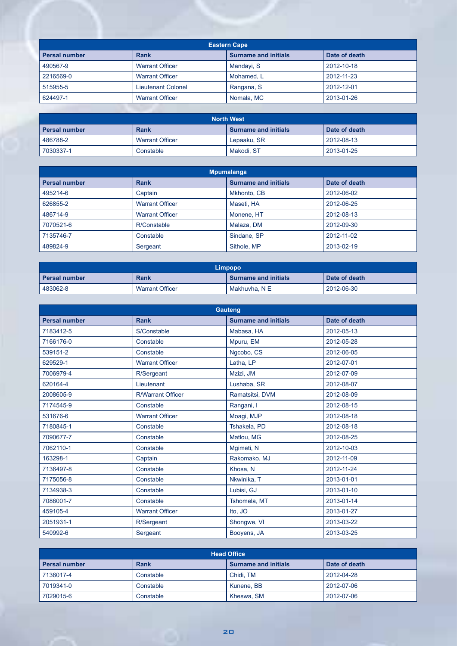| <b>Eastern Cape</b>  |                           |                             |               |
|----------------------|---------------------------|-----------------------------|---------------|
| <b>Persal number</b> | Rank                      | <b>Surname and initials</b> | Date of death |
| 490567-9             | <b>Warrant Officer</b>    | Mandayi, S                  | 2012-10-18    |
| 2216569-0            | <b>Warrant Officer</b>    | Mohamed. L                  | 2012-11-23    |
| 515955-5             | <b>Lieutenant Colonel</b> | Rangana, S                  | 2012-12-01    |
| 624497-1             | <b>Warrant Officer</b>    | Nomala, MC                  | 2013-01-26    |

| <b>North West</b>    |                        |                             |               |
|----------------------|------------------------|-----------------------------|---------------|
| <b>Persal number</b> | Rank                   | <b>Surname and initials</b> | Date of death |
| 486788-2             | <b>Warrant Officer</b> | Lepaaku, SR                 | 2012-08-13    |
| 7030337-1            | Constable              | Makodi, ST                  | 2013-01-25    |

| <b>Mpumalanga</b>    |                        |                             |               |
|----------------------|------------------------|-----------------------------|---------------|
| <b>Persal number</b> | Rank                   | <b>Surname and initials</b> | Date of death |
| 495214-6             | Captain                | Mkhonto, CB                 | 2012-06-02    |
| 626855-2             | <b>Warrant Officer</b> | Maseti, HA                  | 2012-06-25    |
| 486714-9             | <b>Warrant Officer</b> | Monene, HT                  | 2012-08-13    |
| 7070521-6            | R/Constable            | Malaza, DM                  | 2012-09-30    |
| 7135746-7            | Constable              | Sindane, SP                 | 2012-11-02    |
| 489824-9             | Sergeant               | Sithole, MP                 | 2013-02-19    |

| Limpopo                                                                      |                        |               |            |
|------------------------------------------------------------------------------|------------------------|---------------|------------|
| Rank<br><b>Persal number</b><br>Date of death<br><i>Surname and initials</i> |                        |               |            |
| 483062-8                                                                     | <b>Warrant Officer</b> | Makhuvha, N E | 2012-06-30 |

| <b>Gauteng</b>       |                          |                             |               |
|----------------------|--------------------------|-----------------------------|---------------|
| <b>Persal number</b> | <b>Rank</b>              | <b>Surname and initials</b> | Date of death |
| 7183412-5            | S/Constable              | Mabasa, HA                  | 2012-05-13    |
| 7166176-0            | Constable                | Mpuru, EM                   | 2012-05-28    |
| 539151-2             | Constable                | Ngcobo, CS                  | 2012-06-05    |
| 629529-1             | <b>Warrant Officer</b>   | Latha, LP                   | 2012-07-01    |
| 7006979-4            | R/Sergeant               | Mzizi, JM                   | 2012-07-09    |
| 620164-4             | Lieutenant               | Lushaba, SR                 | 2012-08-07    |
| 2008605-9            | <b>R/Warrant Officer</b> | Ramatsitsi, DVM             | 2012-08-09    |
| 7174545-9            | Constable                | Rangani, I                  | 2012-08-15    |
| 531676-6             | <b>Warrant Officer</b>   | Moagi, MJP                  | 2012-08-18    |
| 7180845-1            | Constable                | Tshakela, PD                | 2012-08-18    |
| 7090677-7            | Constable                | Matlou, MG                  | 2012-08-25    |
| 7062110-1            | Constable                | Mgimeti, N                  | 2012-10-03    |
| 163298-1             | Captain                  | Rakomako, MJ                | 2012-11-09    |
| 7136497-8            | Constable                | Khosa, N                    | 2012-11-24    |
| 7175056-8            | Constable                | Nkwinika, T                 | 2013-01-01    |
| 7134938-3            | Constable                | Lubisi, GJ                  | 2013-01-10    |
| 7086001-7            | Constable                | Tshomela, MT                | 2013-01-14    |
| 459105-4             | <b>Warrant Officer</b>   | Ito, JO                     | 2013-01-27    |
| 2051931-1            | R/Sergeant               | Shongwe, VI                 | 2013-03-22    |
| 540992-6             | Sergeant                 | Booyens, JA                 | 2013-03-25    |

| <b>Head Office</b>   |           |                             |               |
|----------------------|-----------|-----------------------------|---------------|
| <b>Persal number</b> | Rank      | <b>Surname and initials</b> | Date of death |
| 7136017-4            | Constable | Chidi. TM                   | 2012-04-28    |
| 7019341-0            | Constable | Kunene, BB                  | 2012-07-06    |
| 7029015-6            | Constable | Kheswa, SM                  | 2012-07-06    |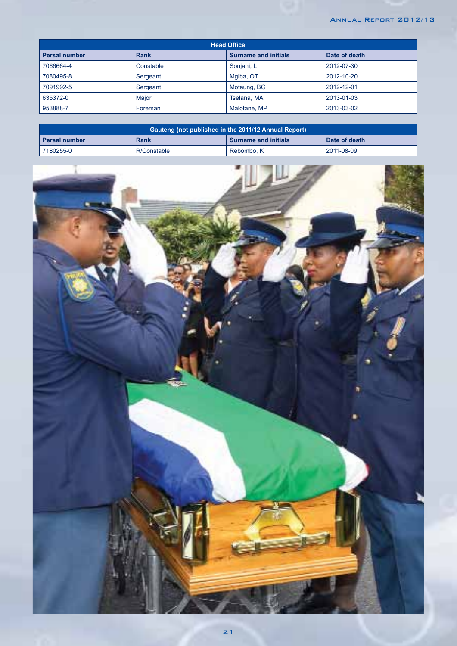| <b>Head Office</b>   |           |                             |               |
|----------------------|-----------|-----------------------------|---------------|
| <b>Persal number</b> | Rank      | <b>Surname and initials</b> | Date of death |
| 7066664-4            | Constable | Sonjani, L                  | 2012-07-30    |
| 7080495-8            | Sergeant  | Mgiba, OT                   | 2012-10-20    |
| 7091992-5            | Sergeant  | Motaung, BC                 | 2012-12-01    |
| 635372-0             | Major     | Tselana, MA                 | 2013-01-03    |
| 953888-7             | Foreman   | Malotane, MP                | 2013-03-02    |

| Gauteng (not published in the 2011/12 Annual Report)                    |             |            |            |
|-------------------------------------------------------------------------|-------------|------------|------------|
| <b>Rank</b><br>Surname and initials<br>Date of death<br>l Persal number |             |            |            |
| 7180255-0                                                               | R/Constable | Rebombo, K | 2011-08-09 |